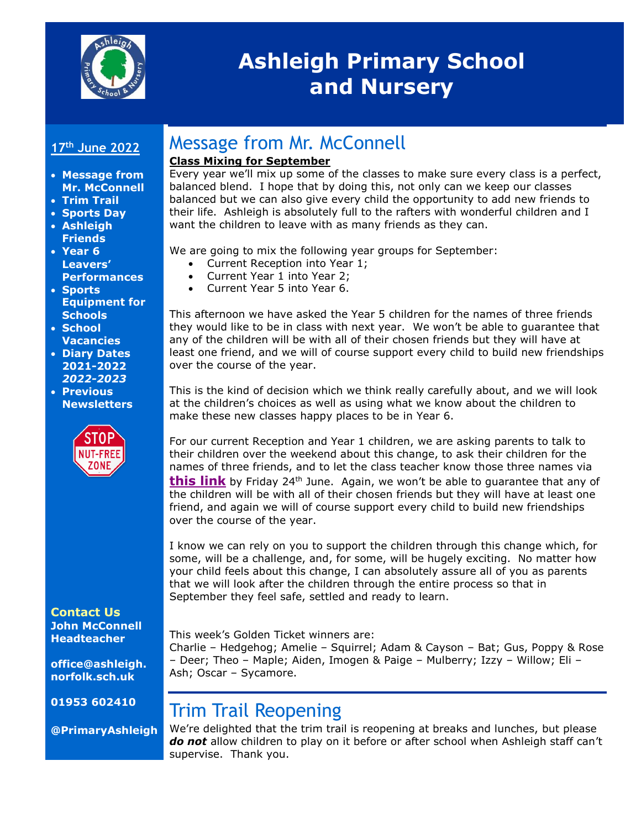

# **Ashleigh Primary School and Nursery**

#### **17 th June 2022**

- **Message from Mr. McConnell**
- **Trim Trail**
- **Sports Day**
- **Ashleigh Friends**
- **Year 6 Leavers' Performances**
- **Sports Equipment for Schools**
- **School Vacancies**
- **Diary Dates 2021-2022** *2022-2023*
- **Previous Newsletters**



**Contact Us John McConnell Headteacher**

**office@ashleigh. norfolk.sch.uk**

**01953 602410**

**@PrimaryAshleigh**

### Message from Mr. McConnell

#### **Class Mixing for September**

Every year we'll mix up some of the classes to make sure every class is a perfect, balanced blend. I hope that by doing this, not only can we keep our classes balanced but we can also give every child the opportunity to add new friends to their life. Ashleigh is absolutely full to the rafters with wonderful children and I want the children to leave with as many friends as they can.

We are going to mix the following year groups for September:

- Current Reception into Year 1;
- Current Year 1 into Year 2;
- Current Year 5 into Year 6.

This afternoon we have asked the Year 5 children for the names of three friends they would like to be in class with next year. We won't be able to guarantee that any of the children will be with all of their chosen friends but they will have at least one friend, and we will of course support every child to build new friendships over the course of the year.

This is the kind of decision which we think really carefully about, and we will look at the children's choices as well as using what we know about the children to make these new classes happy places to be in Year 6.

For our current Reception and Year 1 children, we are asking parents to talk to their children over the weekend about this change, to ask their children for the names of three friends, and to let the class teacher know those three names via **[this link](https://forms.office.com/r/mNyVnivBgQ)** by Friday 24<sup>th</sup> June. Again, we won't be able to guarantee that any of the children will be with all of their chosen friends but they will have at least one friend, and again we will of course support every child to build new friendships over the course of the year.

I know we can rely on you to support the children through this change which, for some, will be a challenge, and, for some, will be hugely exciting. No matter how your child feels about this change, I can absolutely assure all of you as parents that we will look after the children through the entire process so that in September they feel safe, settled and ready to learn.

This week's Golden Ticket winners are:

Charlie – Hedgehog; Amelie – Squirrel; Adam & Cayson – Bat; Gus, Poppy & Rose – Deer; Theo – Maple; Aiden, Imogen & Paige – Mulberry; Izzy – Willow; Eli – Ash; Oscar – Sycamore.

## Trim Trail Reopening

We're delighted that the trim trail is reopening at breaks and lunches, but please *do not* allow children to play on it before or after school when Ashleigh staff can't supervise. Thank you.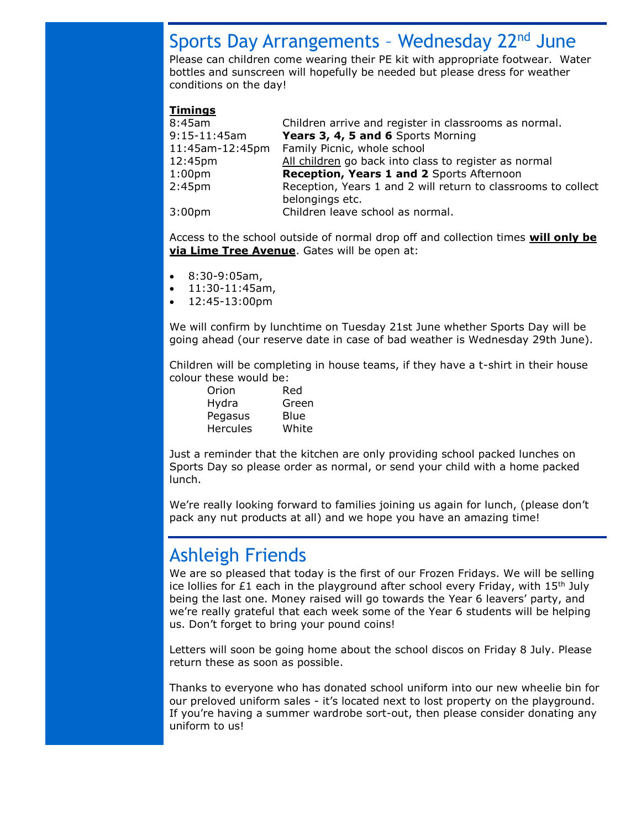## Sports Day Arrangements - Wednesday 22<sup>nd</sup> June

Please can children come wearing their PE kit with appropriate footwear. Water bottles and sunscreen will hopefully be needed but please dress for weather conditions on the day!

#### **Timings**

| 8:45am             | Children arrive and register in classrooms as normal.         |
|--------------------|---------------------------------------------------------------|
| 9:15-11:45am       | Years 3, 4, 5 and 6 Sports Morning                            |
|                    | 11:45am-12:45pm Family Picnic, whole school                   |
| 12:45pm            | All children go back into class to register as normal         |
| 1:00 <sub>pm</sub> | Reception, Years 1 and 2 Sports Afternoon                     |
| 2:45 <sub>pm</sub> | Reception, Years 1 and 2 will return to classrooms to collect |
|                    | belongings etc.                                               |
| 3:00 <sub>pm</sub> | Children leave school as normal.                              |

Access to the school outside of normal drop off and collection times **will only be via Lime Tree Avenue**. Gates will be open at:

- 8:30-9:05am,
- 11:30-11:45am,
- 12:45-13:00pm

We will confirm by lunchtime on Tuesday 21st June whether Sports Day will be going ahead (our reserve date in case of bad weather is Wednesday 29th June).

Children will be completing in house teams, if they have a t-shirt in their house colour these would be:

| Orion    | Red   |
|----------|-------|
| Hydra    | Green |
| Pegasus  | Blue  |
| Hercules | White |
|          |       |

Just a reminder that the kitchen are only providing school packed lunches on Sports Day so please order as normal, or send your child with a home packed lunch.

We're really looking forward to families joining us again for lunch, (please don't pack any nut products at all) and we hope you have an amazing time!

#### Ashleigh Friends

We are so pleased that today is the first of our Frozen Fridays. We will be selling ice lollies for £1 each in the playground after school every Friday, with  $15^{th}$  July being the last one. Money raised will go towards the Year 6 leavers' party, and we're really grateful that each week some of the Year 6 students will be helping us. Don't forget to bring your pound coins!

Letters will soon be going home about the school discos on Friday 8 July. Please return these as soon as possible.

Thanks to everyone who has donated school uniform into our new wheelie bin for our preloved uniform sales - it's located next to lost property on the playground. If you're having a summer wardrobe sort-out, then please consider donating any uniform to us!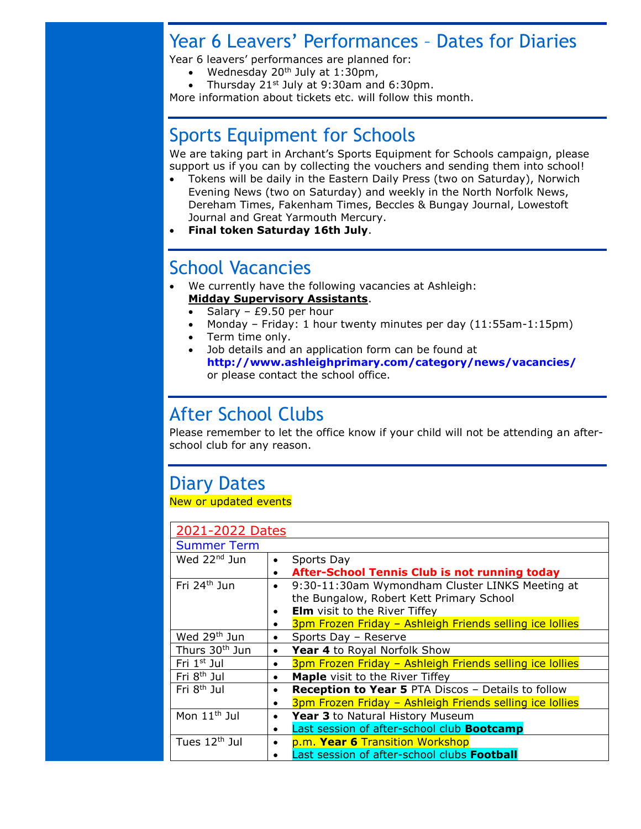## Year 6 Leavers' Performances – Dates for Diaries

Year 6 leavers' performances are planned for:

- Wednesday  $20<sup>th</sup>$  July at 1:30pm,
- Thursday  $21^{st}$  July at 9:30am and 6:30pm.

More information about tickets etc. will follow this month.

## Sports Equipment for Schools

We are taking part in Archant's Sports Equipment for Schools campaign, please support us if you can by collecting the vouchers and sending them into school!

- Tokens will be daily in the Eastern Daily Press (two on Saturday), Norwich Evening News (two on Saturday) and weekly in the North Norfolk News, Dereham Times, Fakenham Times, Beccles & Bungay Journal, Lowestoft Journal and Great Yarmouth Mercury.
- **Final token Saturday 16th July**.

### School Vacancies

- We currently have the following vacancies at Ashleigh:
	- **Midday Supervisory Assistants**. Salary –  $£9.50$  per hour
	- Monday Friday: 1 hour twenty minutes per day (11:55am-1:15pm)
	- Term time only.
	- Job details and an application form can be found at **<http://www.ashleighprimary.com/category/news/vacancies/>** or please contact the school office.

## After School Clubs

Please remember to let the office know if your child will not be attending an afterschool club for any reason.

## Diary Dates

New or updated events

| 2021-2022 Dates            |                                                                        |  |
|----------------------------|------------------------------------------------------------------------|--|
| <b>Summer Term</b>         |                                                                        |  |
| Wed $22nd$ Jun             | Sports Day<br>$\bullet$                                                |  |
|                            | After-School Tennis Club is not running today<br>$\bullet$             |  |
| Fri 24 <sup>th</sup> Jun   | 9:30-11:30am Wymondham Cluster LINKS Meeting at<br>$\bullet$           |  |
|                            | the Bungalow, Robert Kett Primary School                               |  |
|                            | <b>Elm</b> visit to the River Tiffey<br>$\bullet$                      |  |
|                            | 3pm Frozen Friday - Ashleigh Friends selling ice lollies<br>$\bullet$  |  |
| Wed 29 <sup>th</sup> Jun   | Sports Day - Reserve<br>$\bullet$                                      |  |
| Thurs 30 <sup>th</sup> Jun | Year 4 to Royal Norfolk Show<br>$\bullet$                              |  |
| Fri $1st$ Jul              | 3pm Frozen Friday - Ashleigh Friends selling ice lollies<br>$\bullet$  |  |
| Fri 8 <sup>th</sup> Jul    | <b>Maple</b> visit to the River Tiffey<br>$\bullet$                    |  |
| Fri 8 <sup>th</sup> Jul    | <b>Reception to Year 5 PTA Discos - Details to follow</b><br>$\bullet$ |  |
|                            | 3pm Frozen Friday - Ashleigh Friends selling ice lollies<br>$\bullet$  |  |
| Mon 11 <sup>th</sup> Jul   | Year 3 to Natural History Museum<br>$\bullet$                          |  |
|                            | Last session of after-school club <b>Bootcamp</b><br>$\bullet$         |  |
| Tues 12 <sup>th</sup> Jul  | p.m. Year 6 Transition Workshop<br>$\bullet$                           |  |
|                            | Last session of after-school clubs Football                            |  |